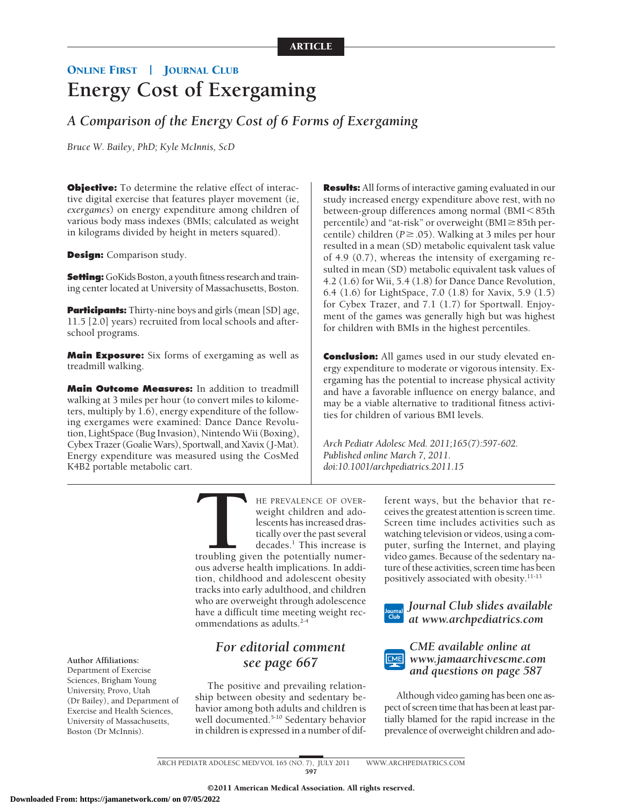# ONLINE FIRST | JOURNAL CLUB **Energy Cost of Exergaming**

# *A Comparison of the Energy Cost of 6 Forms of Exergaming*

*Bruce W. Bailey, PhD; Kyle McInnis, ScD*

**Objective:** To determine the relative effect of interactive digital exercise that features player movement (ie, *exergames*) on energy expenditure among children of various body mass indexes (BMIs; calculated as weight in kilograms divided by height in meters squared).

**Design:** Comparison study.

**Setting:** GoKids Boston, a youth fitness research and training center located at University of Massachusetts, Boston.

**Participants:** Thirty-nine boys and girls (mean [SD] age, 11.5 [2.0] years) recruited from local schools and afterschool programs.

**Main Exposure:** Six forms of exergaming as well as treadmill walking.

**Main Outcome Measures:** In addition to treadmill walking at 3 miles per hour (to convert miles to kilometers, multiply by 1.6), energy expenditure of the following exergames were examined: Dance Dance Revolution, LightSpace (Bug Invasion), Nintendo Wii (Boxing), Cybex Trazer (Goalie Wars), Sportwall, and Xavix (J-Mat). Energy expenditure was measured using the CosMed K4B2 portable metabolic cart.

**Results:** All forms of interactive gaming evaluated in our study increased energy expenditure above rest, with no between-group differences among normal (BMI-85th percentile) and "at-risk" or overweight (BMI $\geq$ 85th percentile) children ( $P \ge 0.05$ ). Walking at 3 miles per hour resulted in a mean (SD) metabolic equivalent task value of 4.9 (0.7), whereas the intensity of exergaming resulted in mean (SD) metabolic equivalent task values of 4.2 (1.6) for Wii, 5.4 (1.8) for Dance Dance Revolution, 6.4 (1.6) for LightSpace, 7.0 (1.8) for Xavix, 5.9 (1.5) for Cybex Trazer, and 7.1 (1.7) for Sportwall. Enjoyment of the games was generally high but was highest for children with BMIs in the highest percentiles.

**Conclusion:** All games used in our study elevated energy expenditure to moderate or vigorous intensity. Exergaming has the potential to increase physical activity and have a favorable influence on energy balance, and may be a viable alternative to traditional fitness activities for children of various BMI levels.

*Arch Pediatr Adolesc Med. 2011;165(7):597-602. Published online March 7, 2011. doi:10.1001/archpediatrics.2011.15*

**THE PREVALENCE OF OVER-**<br>weight children and ado-<br>lescents has increased dras-<br>tically over the past several<br>decades.<sup>1</sup> This increase is<br>troubling given the potentially numer-<br>ous adverse health implications. In addiweight children and adolescents has increased drastically over the past several decades.1 This increase is troubling given the potentially numerous adverse health implications. In addition, childhood and adolescent obesity tracks into early adulthood, and children who are overweight through adolescence have a difficult time meeting weight recommendations as adults.<sup>2-4</sup>

# *For editorial comment see page 667*

The positive and prevailing relationship between obesity and sedentary behavior among both adults and children is well documented.5-10 Sedentary behavior in children is expressed in a number of different ways, but the behavior that receives the greatest attention is screen time. Screen time includes activities such as watching television or videos, using a computer, surfing the Internet, and playing video games. Because of the sedentary nature of these activities, screen time has been positively associated with obesity.<sup>11-13</sup>

*Journal Club slides available at www.archpediatrics.com*



# *CME available online at www.jamaarchivescme.com and questions on page 587*

Although video gaming has been one aspect of screen time that has been at least partially blamed for the rapid increase in the prevalence of overweight children and ado-

# **Author Affiliations:**

Department of Exercise Sciences, Brigham Young University, Provo, Utah (Dr Bailey), and Department of Exercise and Health Sciences, University of Massachusetts, Boston (Dr McInnis).

> ARCH PEDIATR ADOLESC MED/ VOL 165 (NO. 7), JULY 2011 WWW.ARCHPEDIATRICS.COM 597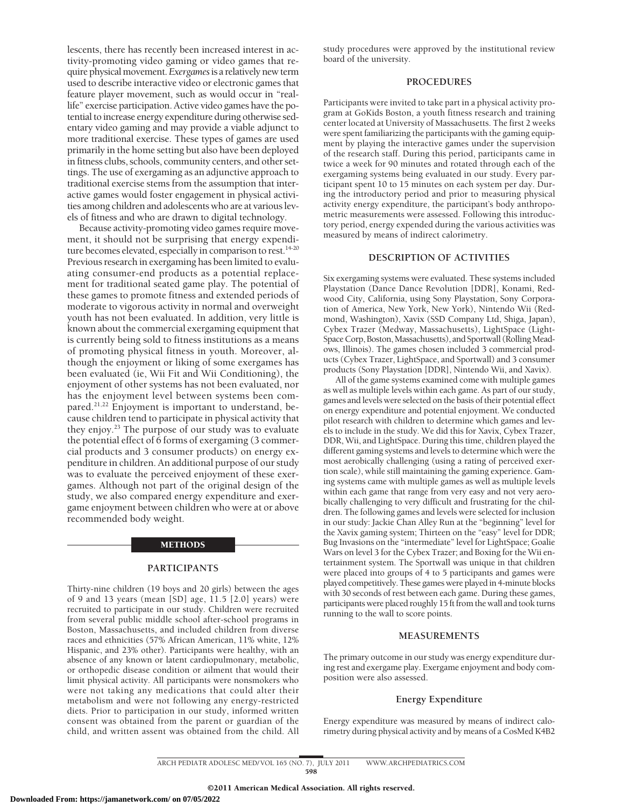lescents, there has recently been increased interest in activity-promoting video gaming or video games that require physical movement.*Exergames*is a relatively new term used to describe interactive video or electronic games that feature player movement, such as would occur in "reallife" exercise participation. Active video games have the potential to increase energy expenditure during otherwise sedentary video gaming and may provide a viable adjunct to more traditional exercise. These types of games are used primarily in the home setting but also have been deployed in fitness clubs, schools, community centers, and other settings. The use of exergaming as an adjunctive approach to traditional exercise stems from the assumption that interactive games would foster engagement in physical activities among children and adolescents who are at various levels of fitness and who are drawn to digital technology.

Because activity-promoting video games require movement, it should not be surprising that energy expenditure becomes elevated, especially in comparison to rest.<sup>14-20</sup> Previous research in exergaming has been limited to evaluating consumer-end products as a potential replacement for traditional seated game play. The potential of these games to promote fitness and extended periods of moderate to vigorous activity in normal and overweight youth has not been evaluated. In addition, very little is known about the commercial exergaming equipment that is currently being sold to fitness institutions as a means of promoting physical fitness in youth. Moreover, although the enjoyment or liking of some exergames has been evaluated (ie, Wii Fit and Wii Conditioning), the enjoyment of other systems has not been evaluated, nor has the enjoyment level between systems been compared.<sup>21,22</sup> Enjoyment is important to understand, because children tend to participate in physical activity that they enjoy. $23$  The purpose of our study was to evaluate the potential effect of 6 forms of exergaming (3 commercial products and 3 consumer products) on energy expenditure in children. An additional purpose of our study was to evaluate the perceived enjoyment of these exergames. Although not part of the original design of the study, we also compared energy expenditure and exergame enjoyment between children who were at or above recommended body weight.

#### METHODS

# **PARTICIPANTS**

Thirty-nine children (19 boys and 20 girls) between the ages of 9 and 13 years (mean [SD] age, 11.5 [2.0] years) were recruited to participate in our study. Children were recruited from several public middle school after-school programs in Boston, Massachusetts, and included children from diverse races and ethnicities (57% African American, 11% white, 12% Hispanic, and 23% other). Participants were healthy, with an absence of any known or latent cardiopulmonary, metabolic, or orthopedic disease condition or ailment that would their limit physical activity. All participants were nonsmokers who were not taking any medications that could alter their metabolism and were not following any energy-restricted diets. Prior to participation in our study, informed written consent was obtained from the parent or guardian of the child, and written assent was obtained from the child. All study procedures were approved by the institutional review board of the university.

# **PROCEDURES**

Participants were invited to take part in a physical activity program at GoKids Boston, a youth fitness research and training center located at University of Massachusetts. The first 2 weeks were spent familiarizing the participants with the gaming equipment by playing the interactive games under the supervision of the research staff. During this period, participants came in twice a week for 90 minutes and rotated through each of the exergaming systems being evaluated in our study. Every participant spent 10 to 15 minutes on each system per day. During the introductory period and prior to measuring physical activity energy expenditure, the participant's body anthropometric measurements were assessed. Following this introductory period, energy expended during the various activities was measured by means of indirect calorimetry.

## **DESCRIPTION OF ACTIVITIES**

Six exergaming systems were evaluated. These systems included Playstation (Dance Dance Revolution [DDR], Konami, Redwood City, California, using Sony Playstation, Sony Corporation of America, New York, New York), Nintendo Wii (Redmond, Washington), Xavix (SSD Company Ltd, Shiga, Japan), Cybex Trazer (Medway, Massachusetts), LightSpace (Light-Space Corp, Boston, Massachusetts), and Sportwall (Rolling Meadows, Illinois). The games chosen included 3 commercial products (Cybex Trazer, LightSpace, and Sportwall) and 3 consumer products (Sony Playstation [DDR], Nintendo Wii, and Xavix).

All of the game systems examined come with multiple games as well as multiple levels within each game. As part of our study, games and levels were selected on the basis of their potential effect on energy expenditure and potential enjoyment. We conducted pilot research with children to determine which games and levels to include in the study. We did this for Xavix, Cybex Trazer, DDR, Wii, and LightSpace. During this time, children played the different gaming systems and levels to determine which were the most aerobically challenging (using a rating of perceived exertion scale), while still maintaining the gaming experience. Gaming systems came with multiple games as well as multiple levels within each game that range from very easy and not very aerobically challenging to very difficult and frustrating for the children. The following games and levels were selected for inclusion in our study: Jackie Chan Alley Run at the "beginning" level for the Xavix gaming system; Thirteen on the "easy" level for DDR; Bug Invasions on the "intermediate" level for LightSpace; Goalie Wars on level 3 for the Cybex Trazer; and Boxing for the Wii entertainment system. The Sportwall was unique in that children were placed into groups of 4 to 5 participants and games were played competitively. These games were played in 4-minute blocks with 30 seconds of rest between each game. During these games, participants were placed roughly 15 ft from the wall and took turns running to the wall to score points.

#### **MEASUREMENTS**

The primary outcome in our study was energy expenditure during rest and exergame play. Exergame enjoyment and body composition were also assessed.

# **Energy Expenditure**

Energy expenditure was measured by means of indirect calorimetry during physical activity and by means of a CosMed K4B2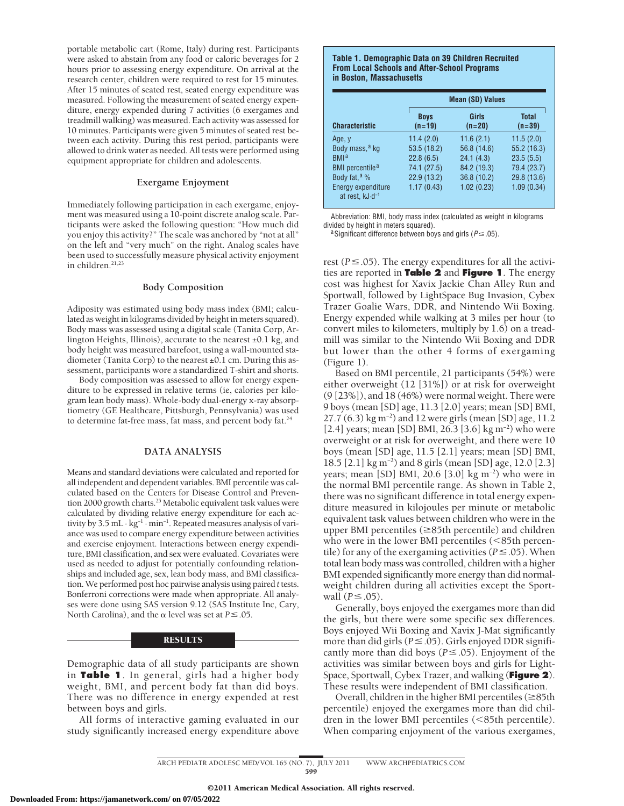portable metabolic cart (Rome, Italy) during rest. Participants were asked to abstain from any food or caloric beverages for 2 hours prior to assessing energy expenditure. On arrival at the research center, children were required to rest for 15 minutes. After 15 minutes of seated rest, seated energy expenditure was measured. Following the measurement of seated energy expenditure, energy expended during 7 activities (6 exergames and treadmill walking) was measured. Each activity was assessed for 10 minutes. Participants were given 5 minutes of seated rest between each activity. During this rest period, participants were allowed to drink water as needed. All tests were performed using equipment appropriate for children and adolescents.

#### **Exergame Enjoyment**

Immediately following participation in each exergame, enjoyment was measured using a 10-point discrete analog scale. Participants were asked the following question: "How much did you enjoy this activity?" The scale was anchored by "not at all" on the left and "very much" on the right. Analog scales have been used to successfully measure physical activity enjoyment in children.<sup>21,23</sup>

#### **Body Composition**

Adiposity was estimated using body mass index (BMI; calculated as weight in kilograms divided by height in meters squared). Body mass was assessed using a digital scale (Tanita Corp, Arlington Heights, Illinois), accurate to the nearest ±0.1 kg, and body height was measured barefoot, using a wall-mounted stadiometer (Tanita Corp) to the nearest ±0.1 cm. During this assessment, participants wore a standardized T-shirt and shorts.

Body composition was assessed to allow for energy expenditure to be expressed in relative terms (ie, calories per kilogram lean body mass). Whole-body dual-energy x-ray absorptiometry (GE Healthcare, Pittsburgh, Pennsylvania) was used to determine fat-free mass, fat mass, and percent body fat.<sup>24</sup>

### **DATA ANALYSIS**

Means and standard deviations were calculated and reported for all independent and dependent variables. BMI percentile was calculated based on the Centers for Disease Control and Prevention 2000 growth charts.<sup>25</sup> Metabolic equivalent task values were calculated by dividing relative energy expenditure for each activity by 3.5 mL ·  $kg^{-1}$  · min<sup>-1</sup>. Repeated measures analysis of variance was used to compare energy expenditure between activities and exercise enjoyment. Interactions between energy expenditure, BMI classification, and sex were evaluated. Covariates were used as needed to adjust for potentially confounding relationships and included age, sex, lean body mass, and BMI classification. We performed post hoc pairwise analysis using paired *t*tests. Bonferroni corrections were made when appropriate. All analyses were done using SAS version 9.12 (SAS Institute Inc, Cary, North Carolina), and the  $\alpha$  level was set at *P* $\leq$ .05.

# **RESULTS**

Demographic data of all study participants are shown in **Table 1**. In general, girls had a higher body weight, BMI, and percent body fat than did boys. There was no difference in energy expended at rest between boys and girls.

All forms of interactive gaming evaluated in our study significantly increased energy expenditure above

#### **Table 1. Demographic Data on 39 Children Recruited From Local Schools and After-School Programs in Boston, Massachusetts**

|                                                   |                         | <b>Mean (SD) Values</b> |                          |  |
|---------------------------------------------------|-------------------------|-------------------------|--------------------------|--|
| <b>Characteristic</b>                             | <b>Boys</b><br>$(n=19)$ | Girls<br>$(n=20)$       | <b>Total</b><br>$(n=39)$ |  |
| Age, y                                            | 11.4(2.0)               | 11.6(2.1)               | 11.5(2.0)                |  |
| Body mass, <sup>a</sup> kg                        | 53.5 (18.2)             | 56.8 (14.6)             | 55.2 (16.3)              |  |
| <b>BMI</b> <sup>a</sup>                           | 22.8(6.5)               | 24.1(4.3)               | 23.5(5.5)                |  |
| BMI percentile <sup>a</sup>                       | 74.1 (27.5)             | 84.2 (19.3)             | 79.4 (23.7)              |  |
| Body fat, <sup>a</sup> %                          | 22.9 (13.2)             | 36.8(10.2)              | 29.8 (13.6)              |  |
| Energy expenditure<br>at rest, kJ-d <sup>-1</sup> | 1.17(0.43)              | 1.02(0.23)              | 1.09(0.34)               |  |

Abbreviation: BMI, body mass index (calculated as weight in kilograms divided by height in meters squared).<br><sup>a</sup>Significant difference between boys and girls ( $P \le 0.05$ ).

rest ( $P \le 0.05$ ). The energy expenditures for all the activities are reported in **Table 2** and **Figure 1**. The energy cost was highest for Xavix Jackie Chan Alley Run and Sportwall, followed by LightSpace Bug Invasion, Cybex Trazer Goalie Wars, DDR, and Nintendo Wii Boxing. Energy expended while walking at 3 miles per hour (to convert miles to kilometers, multiply by 1.6) on a treadmill was similar to the Nintendo Wii Boxing and DDR but lower than the other 4 forms of exergaming (Figure 1).

Based on BMI percentile, 21 participants (54%) were either overweight (12 [31%]) or at risk for overweight (9 [23%]), and 18 (46%) were normal weight. There were 9 boys (mean [SD] age, 11.3 [2.0] years; mean [SD] BMI, 27.7 (6.3) kg m<sup>-2</sup>) and 12 were girls (mean [SD] age, 11.2 [2.4] years; mean [SD] BMI, 26.3 [3.6] kg m<sup>-2</sup>) who were overweight or at risk for overweight, and there were 10 boys (mean [SD] age, 11.5 [2.1] years; mean [SD] BMI, 18.5 [2.1] kg m−2) and 8 girls (mean [SD] age, 12.0 [2.3] years; mean [SD] BMI, 20.6 [3.0] kg m−2) who were in the normal BMI percentile range. As shown in Table 2, there was no significant difference in total energy expenditure measured in kilojoules per minute or metabolic equivalent task values between children who were in the upper BMI percentiles  $(\geq 85$ th percentile) and children who were in the lower BMI percentiles (<85th percentile) for any of the exergaming activities ( $P \leq .05$ ). When total lean body mass was controlled, children with a higher BMI expended significantly more energy than did normalweight children during all activities except the Sportwall  $(P \leq .05)$ .

Generally, boys enjoyed the exergames more than did the girls, but there were some specific sex differences. Boys enjoyed Wii Boxing and Xavix J-Mat significantly more than did girls ( $P \leq .05$ ). Girls enjoyed DDR significantly more than did boys ( $P \leq .05$ ). Enjoyment of the activities was similar between boys and girls for Light-Space, Sportwall, Cybex Trazer, and walking (**Figure 2**). These results were independent of BMI classification.

Overall, children in the higher BMI percentiles ( $\geq$ 85th percentile) enjoyed the exergames more than did children in the lower BMI percentiles (<85th percentile). When comparing enjoyment of the various exergames,

ARCH PEDIATR ADOLESC MED/ VOL 165 (NO. 7), JULY 2011 WWW.ARCHPEDIATRICS.COM 599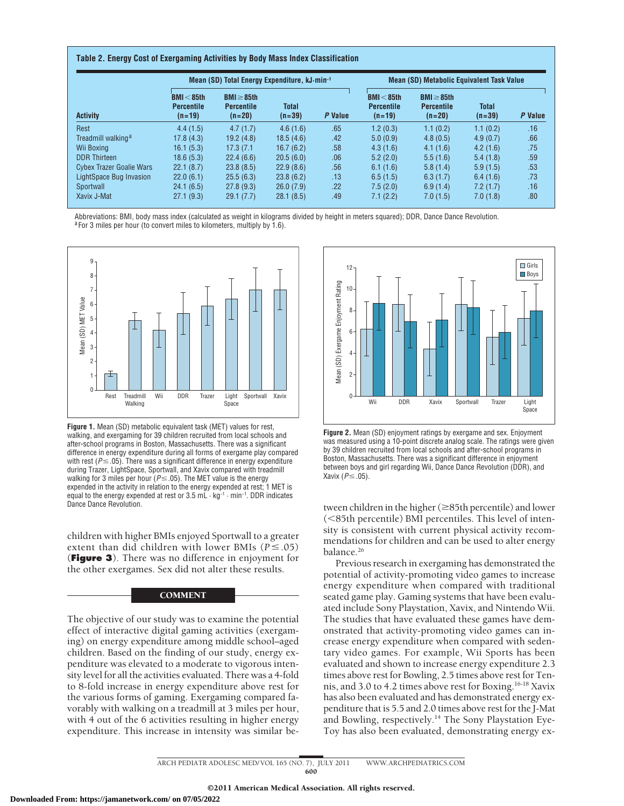#### **Table 2. Energy Cost of Exergaming Activities by Body Mass Index Classification**

| <b>Activity</b>                 | Mean (SD) Total Energy Expenditure, kJ·min <sup>-1</sup> |                                                  |                          |         | <b>Mean (SD) Metabolic Equivalent Task Value</b> |                                                  |                          |         |
|---------------------------------|----------------------------------------------------------|--------------------------------------------------|--------------------------|---------|--------------------------------------------------|--------------------------------------------------|--------------------------|---------|
|                                 | $BMI < 85$ th<br><b>Percentile</b><br>$(n=19)$           | $BMI \geq 85th$<br><b>Percentile</b><br>$(n=20)$ | <b>Total</b><br>$(n=39)$ | P Value | BMI < 85th<br><b>Percentile</b><br>$(n=19)$      | $BMI \geq 85th$<br><b>Percentile</b><br>$(n=20)$ | <b>Total</b><br>$(n=39)$ | P Value |
| Rest                            | 4.4(1.5)                                                 | 4.7(1.7)                                         | 4.6(1.6)                 | .65     | 1.2(0.3)                                         | 1.1(0.2)                                         | 1.1(0.2)                 | .16     |
| Treadmill walking <sup>a</sup>  | 17.8(4.3)                                                | 19.2(4.8)                                        | 18.5(4.6)                | .42     | 5.0(0.9)                                         | 4.8(0.5)                                         | 4.9(0.7)                 | .66     |
| Wii Boxing                      | 16.1(5.3)                                                | 17.3(7.1)                                        | 16.7(6.2)                | .58     | 4.3(1.6)                                         | 4.1(1.6)                                         | 4.2(1.6)                 | .75     |
| <b>DDR Thirteen</b>             | 18.6(5.3)                                                | 22.4(6.6)                                        | 20.5(6.0)                | .06     | 5.2(2.0)                                         | 5.5(1.6)                                         | 5.4(1.8)                 | .59     |
| <b>Cybex Trazer Goalie Wars</b> | 22.1(8.7)                                                | 23.8(8.5)                                        | 22.9(8.6)                | .56     | 6.1(1.6)                                         | 5.8(1.4)                                         | 5.9(1.5)                 | .53     |
| LightSpace Bug Invasion         | 22.0(6.1)                                                | 25.5(6.3)                                        | 23.8(6.2)                | .13     | 6.5(1.5)                                         | 6.3(1.7)                                         | 6.4(1.6)                 | .73     |
| Sportwall                       | 24.1(6.5)                                                | 27.8(9.3)                                        | 26.0(7.9)                | .22     | 7.5(2.0)                                         | 6.9(1.4)                                         | 7.2(1.7)                 | .16     |
| Xavix J-Mat                     | 27.1(9.3)                                                | 29.1(7.7)                                        | 28.1(8.5)                | .49     | 7.1(2.2)                                         | 7.0(1.5)                                         | 7.0(1.8)                 | .80     |

Abbreviations: BMI, body mass index (calculated as weight in kilograms divided by height in meters squared); DDR, Dance Dance Revolution. <sup>a</sup> For 3 miles per hour (to convert miles to kilometers, multiply by 1.6).



**Figure 1.** Mean (SD) metabolic equivalent task (MET) values for rest, walking, and exergaming for 39 children recruited from local schools and after-school programs in Boston, Massachusetts. There was a significant difference in energy expenditure during all forms of exergame play compared with rest ( $P \leq .05$ ). There was a significant difference in energy expenditure during Trazer, LightSpace, Sportwall, and Xavix compared with treadmill walking for 3 miles per hour ( $P \le 0.05$ ). The MET value is the energy expended in the activity in relation to the energy expended at rest; 1 MET is equal to the energy expended at rest or 3.5 mL · kg−1 · min−1. DDR indicates Dance Dance Revolution.

children with higher BMIs enjoyed Sportwall to a greater extent than did children with lower BMIs ( $P \le 0.05$ ) (**Figure 3**). There was no difference in enjoyment for the other exergames. Sex did not alter these results.

### **COMMENT**

The objective of our study was to examine the potential effect of interactive digital gaming activities (exergaming) on energy expenditure among middle school–aged children. Based on the finding of our study, energy expenditure was elevated to a moderate to vigorous intensity level for all the activities evaluated. There was a 4-fold to 8-fold increase in energy expenditure above rest for the various forms of gaming. Exergaming compared favorably with walking on a treadmill at 3 miles per hour, with 4 out of the 6 activities resulting in higher energy expenditure. This increase in intensity was similar be-



**Figure 2.** Mean (SD) enjoyment ratings by exergame and sex. Enjoyment was measured using a 10-point discrete analog scale. The ratings were given by 39 children recruited from local schools and after-school programs in Boston, Massachusetts. There was a significant difference in enjoyment between boys and girl regarding Wii, Dance Dance Revolution (DDR), and Xavix (*P*≤.05).

tween children in the higher  $(\geq 85$ th percentile) and lower (<85th percentile) BMI percentiles. This level of intensity is consistent with current physical activity recommendations for children and can be used to alter energy balance.<sup>26</sup>

Previous research in exergaming has demonstrated the potential of activity-promoting video games to increase energy expenditure when compared with traditional seated game play. Gaming systems that have been evaluated include Sony Playstation, Xavix, and Nintendo Wii. The studies that have evaluated these games have demonstrated that activity-promoting video games can increase energy expenditure when compared with sedentary video games. For example, Wii Sports has been evaluated and shown to increase energy expenditure 2.3 times above rest for Bowling, 2.5 times above rest for Tennis, and 3.0 to 4.2 times above rest for Boxing.<sup>16-18</sup> Xavix has also been evaluated and has demonstrated energy expenditure that is 5.5 and 2.0 times above rest for the J-Mat and Bowling, respectively.<sup>14</sup> The Sony Playstation Eye-Toy has also been evaluated, demonstrating energy ex-

ARCH PEDIATR ADOLESC MED/ VOL 165 (NO. 7), JULY 2011 WWW.ARCHPEDIATRICS.COM 600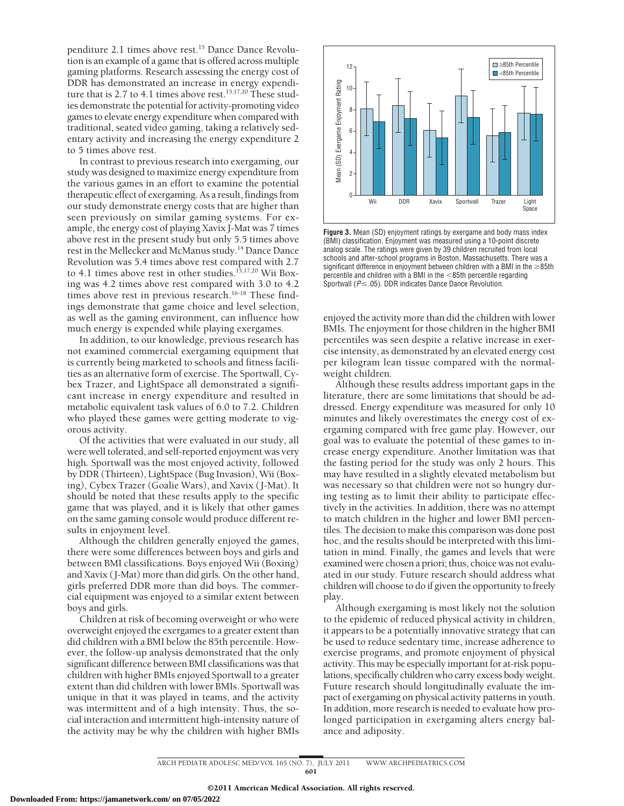penditure 2.1 times above rest.15 Dance Dance Revolution is an example of a game that is offered across multiple gaming platforms. Research assessing the energy cost of DDR has demonstrated an increase in energy expenditure that is 2.7 to 4.1 times above rest.<sup>15,17,20</sup> These studies demonstrate the potential for activity-promoting video games to elevate energy expenditure when compared with traditional, seated video gaming, taking a relatively sedentary activity and increasing the energy expenditure 2 to 5 times above rest.

In contrast to previous research into exergaming, our study was designed to maximize energy expenditure from the various games in an effort to examine the potential therapeutic effect of exergaming. As a result, findings from our study demonstrate energy costs that are higher than seen previously on similar gaming systems. For example, the energy cost of playing Xavix J-Mat was 7 times above rest in the present study but only 5.5 times above rest in the Mellecker and McManus study.14 Dance Dance Revolution was 5.4 times above rest compared with 2.7 to 4.1 times above rest in other studies.<sup>15,17,20</sup> Wii Boxing was 4.2 times above rest compared with 3.0 to 4.2 times above rest in previous research.<sup>16-18</sup> These findings demonstrate that game choice and level selection, as well as the gaming environment, can influence how much energy is expended while playing exergames.

In addition, to our knowledge, previous research has not examined commercial exergaming equipment that is currently being marketed to schools and fitness facilities as an alternative form of exercise. The Sportwall, Cybex Trazer, and LightSpace all demonstrated a significant increase in energy expenditure and resulted in metabolic equivalent task values of 6.0 to 7.2. Children who played these games were getting moderate to vigorous activity.

Of the activities that were evaluated in our study, all were well tolerated, and self-reported enjoyment was very high. Sportwall was the most enjoyed activity, followed by DDR (Thirteen), LightSpace (Bug Invasion), Wii (Boxing), Cybex Trazer (Goalie Wars), and Xavix (J-Mat). It should be noted that these results apply to the specific game that was played, and it is likely that other games on the same gaming console would produce different results in enjoyment level.

Although the children generally enjoyed the games, there were some differences between boys and girls and between BMI classifications. Boys enjoyed Wii (Boxing) and Xavix (J-Mat) more than did girls. On the other hand, girls preferred DDR more than did boys. The commercial equipment was enjoyed to a similar extent between boys and girls.

Children at risk of becoming overweight or who were overweight enjoyed the exergames to a greater extent than did children with a BMI below the 85th percentile. However, the follow-up analysis demonstrated that the only significant difference between BMI classifications was that children with higher BMIs enjoyed Sportwall to a greater extent than did children with lower BMIs. Sportwall was unique in that it was played in teams, and the activity was intermittent and of a high intensity. Thus, the social interaction and intermittent high-intensity nature of the activity may be why the children with higher BMIs



**Figure 3.** Mean (SD) enjoyment ratings by exergame and body mass index (BMI) classification. Enjoyment was measured using a 10-point discrete analog scale. The ratings were given by 39 children recruited from local schools and after-school programs in Boston, Massachusetts. There was a significant difference in enjoyment between children with a BMI in the  $\geq$ 85th percentile and children with a BMI in the  $<$ 85th percentile regarding Sportwall ( $P \le 0.05$ ). DDR indicates Dance Dance Revolution.

enjoyed the activity more than did the children with lower BMIs. The enjoyment for those children in the higher BMI percentiles was seen despite a relative increase in exercise intensity, as demonstrated by an elevated energy cost per kilogram lean tissue compared with the normalweight children.

Although these results address important gaps in the literature, there are some limitations that should be addressed. Energy expenditure was measured for only 10 minutes and likely overestimates the energy cost of exergaming compared with free game play. However, our goal was to evaluate the potential of these games to increase energy expenditure. Another limitation was that the fasting period for the study was only 2 hours. This may have resulted in a slightly elevated metabolism but was necessary so that children were not so hungry during testing as to limit their ability to participate effectively in the activities. In addition, there was no attempt to match children in the higher and lower BMI percentiles. The decision to make this comparison was done post hoc, and the results should be interpreted with this limitation in mind. Finally, the games and levels that were examined were chosen a priori; thus, choice was not evaluated in our study. Future research should address what children will choose to do if given the opportunity to freely play.

Although exergaming is most likely not the solution to the epidemic of reduced physical activity in children, it appears to be a potentially innovative strategy that can be used to reduce sedentary time, increase adherence to exercise programs, and promote enjoyment of physical activity. This may be especially important for at-risk populations, specifically children who carry excess body weight. Future research should longitudinally evaluate the impact of exergaming on physical activity patterns in youth. In addition, more research is needed to evaluate how prolonged participation in exergaming alters energy balance and adiposity.